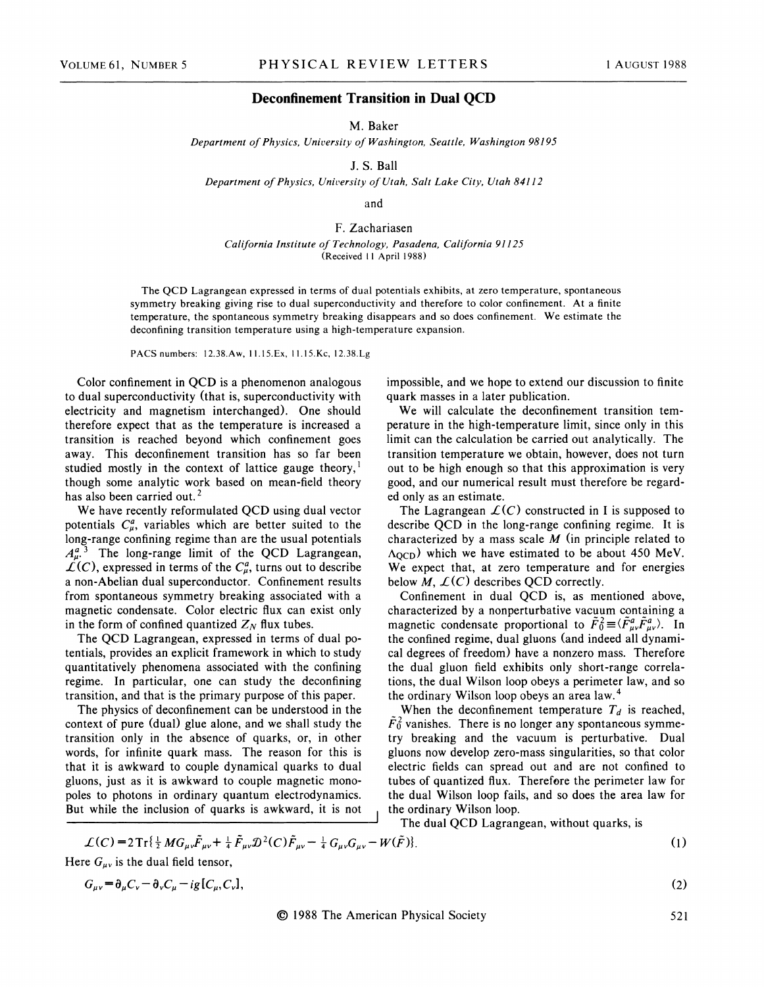## **Deconfinement Transition in Dual QCD**

M. Baker

*Department of Physics, University of Washington, Seattle, Washington 98195* 

J. S. Ball

*Department of Physics, University of Utah, Salt Lake City, Utah 84112* 

and

F. Zachariasen *California Institute of Technology, Pasadena, California 91125*  (Received 11 April 1988)

The QCD Lagrangean expressed in terms of dual potentials exhibits, at zero temperature, spontaneous symmetry breaking giving rise to dual superconductivity and therefore to color confinement. At a finite temperature, the spontaneous symmetry breaking disappears and so does confinement. We estimate the deconfining transition temperature using a high-temperature expansion.

PACSnumbers: 12.38.Aw, 11.15.Ex, 11.15.Kc, 12.38.Lg

Color confinement in QCD is a phenomenon analogous to dual superconductivity (that is, superconductivity with electricity and magnetism interchanged). One should therefore expect that as the temperature is increased a transition is reached beyond which confinement goes away. This deconfinement transition has so far been studied mostly in the context of lattice gauge theory, $<sup>1</sup>$ </sup> though some analytic work based on mean-field theory has also been carried out.<sup>2</sup>

We have recently reformulated QCD using dual vector potentials  $C_{\mu}^{a}$ , variables which are better suited to the long-range confining regime than are the usual potentials  $A_{\mu}^{a}$ <sup>3</sup>. The long-range limit of the QCD Lagrangean,  $\mathcal{L}(C)$ , expressed in terms of the  $C_{\mu}^{a}$ , turns out to describe a non-Abelian dual superconductor. Confinement results from spontaneous symmetry breaking associated with a magnetic condensate. Color electric flux can exist only in the form of confined quantized  $Z_N$  flux tubes.

The QCD Lagrangean, expressed in terms of dual potentials, provides an explicit framework in which to study quantitatively phenomena associated with the confining regime. In particular, one can study the deconfining transition, and that is the primary purpose of this paper.

The physics of deconfinement can be understood in the context of pure (dual) glue alone, and we shall study the transition only in the absence of quarks, or, in other words, for infinite quark mass. The reason for this is that it is awkward to couple dynamical quarks to dual gluons, just as it is awkward to couple magnetic monopoles to photons in ordinary quantum electrodynamics. But while the inclusion of quarks is awkward, it is not

impossible, and we hope to extend our discussion to finite quark masses in a later publication.

We will calculate the deconfinement transition temperature in the high-temperature limit, since only in this limit can the calculation be carried out analytically. The transition temperature we obtain, however, does not turn out to be high enough so that this approximation is very good, and our numerical result must therefore be regarded only as an estimate.

The Lagrangean  $\mathcal{L}(C)$  constructed in I is supposed to describe QCD in the long-range confining regime. It is characterized by a mass scale *M* (in principle related to  $\Lambda_{\text{QCD}}$ ) which we have estimated to be about 450 MeV. We expect that, at zero temperature and for energies below  $M$ ,  $\mathcal{L}(C)$  describes QCD correctly.

Confinement in dual QCD is, as mentioned above, characterized by a nonperturbative vacuum containing a magnetic condensate proportional to  $\tilde{F}_0^2 \equiv \langle \tilde{F}_{\mu\nu}^a \tilde{F}_{\mu\nu}^a \rangle$ . In the confined regime, dual gluons (and indeed all dynamical degrees of freedom) have a nonzero mass. Therefore the dual gluon field exhibits only short-range correlations, the dual Wilson loop obeys a perimeter law, and so the ordinary Wilson loop obeys an area law. 4

When the deconfinement temperature  $T_d$  is reached,  $\tilde{F}_0^2$  vanishes. There is no longer any spontaneous symmetry breaking and the vacuum is perturbative. Dual gluons now develop zero-mass singularities, so that color electric fields can spread out and are not confined to tubes of quantized flux. Therefore the perimeter law for the dual Wilson loop fails, and so does the area law for the ordinary Wilson loop.

The dual QCD Lagrangean, without quarks, is

$$
\mathcal{L}(C) = 2 \operatorname{Tr} \{ \frac{1}{2} M G_{\mu\nu} \tilde{F}_{\mu\nu} + \frac{1}{4} \tilde{F}_{\mu\nu} \mathcal{D}^2(C) \tilde{F}_{\mu\nu} - \frac{1}{4} G_{\mu\nu} G_{\mu\nu} - W(\tilde{F}) \}. \tag{1}
$$

Here  $G_{\mu\nu}$  is the dual field tensor,

$$
G_{\mu\nu} = \partial_{\mu}C_{\nu} - \partial_{\nu}C_{\mu} - ig[C_{\mu}, C_{\nu}],
$$

(2)

© 1988 The American Physical Society

521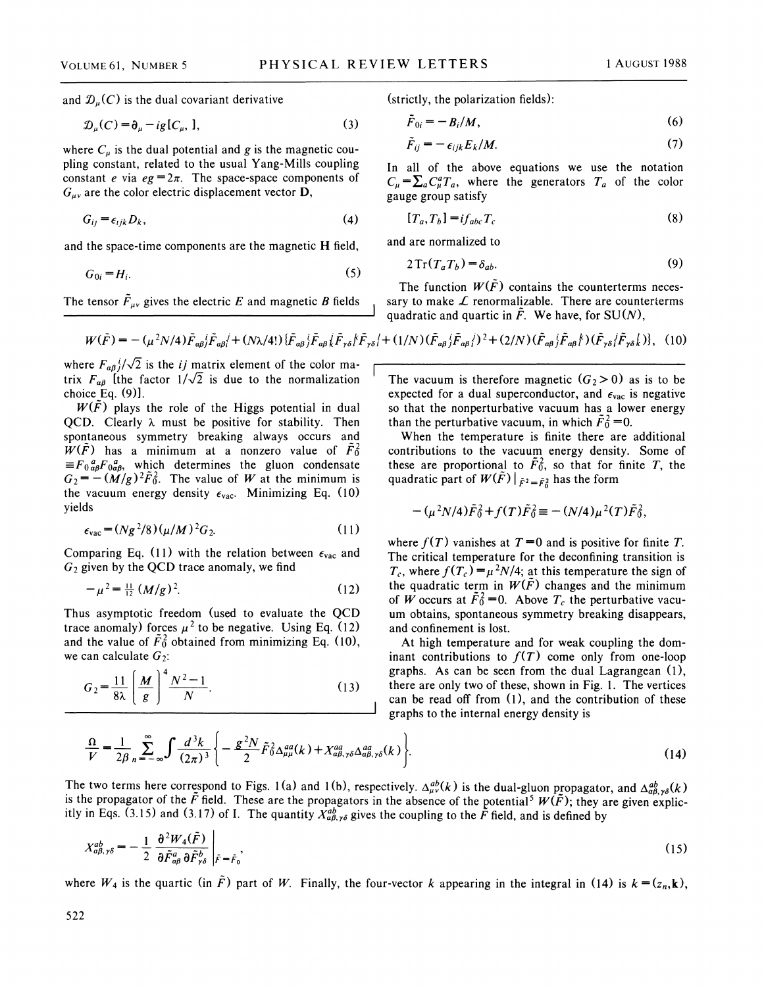and  $\mathcal{D}_{\mu}(C)$  is the dual covariant derivative

$$
\mathcal{D}_u(C) = \partial_u - ig[C_u, 1,\tag{3}
$$

where  $C_{\mu}$  is the dual potential and g is the magnetic coupiing constant, related to the usual Yang-Mills coupling constant *e* via  $eg = 2\pi$ . The space-space components of  $G_{\mu\nu}$  are the color electric displacement vector **D**,

$$
G_{ij} = \epsilon_{ijk} D_k, \tag{4}
$$

and the space-time components are the magnetic H field,

$$
G_{0i} = H_i. \tag{5}
$$

The tensor  $\tilde{F}_{\mu\nu}$  gives the electric *E* and magnetic *B* fields

(strictly, the polarization fields):

$$
\tilde{F}_{0i} = -B_i/M,\tag{6}
$$

$$
\tilde{F}_{ij} = -\epsilon_{ijk} E_k / M. \tag{7}
$$

In all of the above equations we use the notation  $C_{\mu} = \sum_{a} C_{\mu}^{a} T_{a}$ , where the generators  $T_{a}$  of the color gauge group satisfy

$$
[T_a, T_b] = i f_{abc} T_c \tag{8}
$$

and are normalized to

$$
2\operatorname{Tr}(T_a T_b) = \delta_{ab}.\tag{9}
$$

The function  $W(\tilde{F})$  contains the counterterms necessary to make  $\mathcal L$  renormalizable. There are counterterms quadratic and quartic in  $\tilde{F}$ . We have, for SU(N),

$$
W(\tilde{F}) = -(\mu^2 N/4) \tilde{F}_{\alpha\beta} \tilde{F}_{\alpha\beta} \tilde{F}_{\alpha\beta} + (N\lambda/4!) \{\tilde{F}_{\alpha\beta} \tilde{F}_{\alpha\beta} \tilde{F}_{\gamma\delta} \tilde{F}_{\gamma\delta} + (1/N) (\tilde{F}_{\alpha\beta} \tilde{F}_{\alpha\beta} \tilde{F})^2 + (2/N) (\tilde{F}_{\alpha\beta} \tilde{F}_{\alpha\beta} \tilde{F}) (\tilde{F}_{\gamma\delta} \tilde{F}_{\gamma\delta} \tilde{F})\},
$$
(10)

where  $F_{\alpha\beta}$ <sup>*i*</sup>/ $\sqrt{2}$  is the *ij* matrix element of the color matrix  $F_{\alpha\beta}$  [the factor  $1/\sqrt{2}$  is due to the normalization choice Eq. (9)].

 $W(\bar{F})$  plays the role of the Higgs potential in dual QCD. Clearly  $\lambda$  must be positive for stability. Then spontaneous symmetry breaking always occurs and  $W(F)$  has a minimum at a nonzero value of  $F_0^2$  $\equiv F_0^a_{\alpha\beta}F_0^a_{\alpha\beta}$ , which determines the gluon condensate  $G_2 = -(\overline{M/g})^2 \tilde{F}_0^2$ . The value of *W* at the minimum is the vacuum energy density  $\epsilon_{\text{vac}}$ . Minimizing Eq. (10) yields

$$
\epsilon_{\text{vac}} = (Ng^2/8)(\mu/M)^2 G_2. \tag{11}
$$

Comparing Eq. (11) with the relation between  $\epsilon_{\text{vac}}$  and  $G_2$  given by the QCD trace anomaly, we find

$$
-\mu^2 = \frac{11}{12} (M/g)^2.
$$
 (12)

Thus asymptotic freedom (used to evaluate the QCD trace anomaly) forces  $\mu^2$  to be negative. Using Eq. (12) and the value of  $\tilde{F}_0^2$  obtained from minimizing Eq. (10), we can calculate  $G_2$ :

$$
G_2 = \frac{11}{8\lambda} \left(\frac{M}{g}\right)^4 \frac{N^2 - 1}{N}.
$$
 (13)

The vacuum is therefore magnetic  $(G_2 > 0)$  as is to be expected for a dual superconductor, and  $\epsilon_{\text{vac}}$  is negative so that the nonperturbative vacuum has a lower energy than the perturbative vacuum, in which  $F_0^2 = 0$ .

When the temperature is finite there are additional contributions to the vacuum energy density. Some of these are proportional to  $\tilde{F}_0^2$ , so that for finite T, the quadratic part of  $W(\tilde{F})|_{\tilde{F}^2 = \tilde{F}_0^2}$  has the form

$$
-(\mu^2 N/4)\tilde{F}_0^2 + f(T)\tilde{F}_0^2 = -(N/4)\mu^2(T)\tilde{F}_0^2
$$

where  $f(T)$  vanishes at  $T=0$  and is positive for finite T. The critical temperature for the deconfining transition is  $T_c$ , where  $f(T_c) = \mu^2 N/4$ ; at this temperature the sign of the quadratic term in  $W(\tilde{F})$  changes and the minimum of *W* occurs at  $\tilde{F}_0^2 = 0$ . Above  $T_c$  the perturbative vacuum obtains, spontaneous symmetry breaking disappears, and confinement is lost.

At high temperature and for weak coupling the dom· inant contributions to  $f(T)$  come only from one-loop graphs. As can be seen from the dual Lagrangean  $(1)$ , there are only two of these, shown in Fig. 1. The vertices can be read off from (1), and the contribution of these graphs to the internal energy density is

$$
\frac{\Omega}{V} = \frac{1}{2\beta} \sum_{n=-\infty}^{\infty} \int \frac{d^3k}{(2\pi)^3} \left\{ -\frac{g^2 N}{2} \tilde{F}_0^2 \Delta_{\mu\mu}^{aa}(k) + X_{a\beta,\gamma\delta}^{aa} \Delta_{a\beta,\gamma\delta}^{aa}(k) \right\}.
$$
\n(14)

The two terms here correspond to Figs. 1(a) and 1(b), respectively.  $\Delta_{\mu\nu}^{ab}(k)$  is the dual-gluon propagator, and  $\Delta_{a\beta,\gamma\delta}^{ab}(k)$ is the propagator of the  $\bar{F}$  field. These are the propagators in the absence of the potential<sup>5</sup>  $W(\tilde{F})$ ; they are given explicitly in Eqs. (3.15) and (3.17) of I. The quantity  $X^{ab}_{\alpha\beta,\gamma\delta}$  gives the coupling to the  $\tilde{F}$  field, and is defined by

$$
X_{a\beta,\gamma\delta}^{ab} = -\frac{1}{2} \left. \frac{\partial^2 W_4(\tilde{F})}{\partial \tilde{F}_{a\beta}^a \partial \tilde{F}_{\gamma\delta}^b} \right|_{\tilde{F} = \tilde{F}_0},\tag{15}
$$

where  $W_4$  is the quartic (in  $\tilde{F}$ ) part of W. Finally, the four-vector k appearing in the integral in (14) is  $k = (z_n, k)$ ,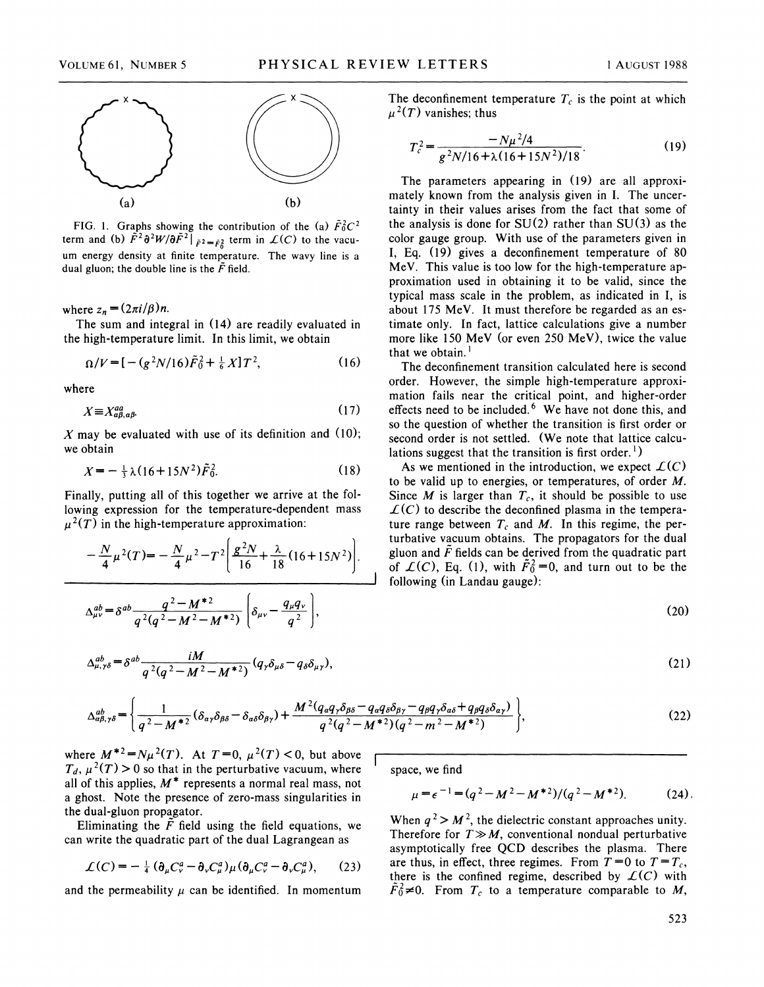

FIG. 1. Graphs showing the contribution of the (a)  $\tilde{F}_0^2C^2$ term and (b)  $\tilde{F}^2 \partial^2 W / \partial \tilde{F}^2$  *i*  $\bar{F}^2 = \bar{F}^2 \partial^2 W / \partial \tilde{F}^2$  *i* erm in  $\mathcal{L}(C)$  to the vacuum energy density at finite temperature. The wavy line is a dual gluon; the double line is the  $\tilde{F}$  field.

where  $z_n = (2\pi i/\beta)n$ .

The sum and integral in (14) are readily evaluated in the high-temperature limit. In this limit, we obtain

$$
\Omega/V = [-(g^2N/16)\tilde{F}_0^2 + \frac{1}{6}X]T^2, \qquad (16)
$$

where

$$
X \equiv X_{a\beta, a\beta}^{aa}.\tag{17}
$$

X may be evaluated with use of its definition and  $(10)$ ; we obtain

$$
X = -\frac{1}{3}\lambda(16 + 15N^2)\tilde{F}_0^2. \tag{18}
$$

Finally, putting all of this together we arrive at the following expression for the temperature-dependent mass  $\mu^2(T)$  in the high-temperature approximation:

$$
-\frac{N}{4}\mu^{2}(T) = -\frac{N}{4}\mu^{2} - T^{2}\left[\frac{g^{2}N}{16} + \frac{\lambda}{18}(16 + 15N^{2})\right].
$$

where  $M^{*2} = N\mu^2(T)$ . At  $T = 0$ ,  $\mu^2(T) < 0$ , but above  $T_d$ ,  $\mu^2(T) > 0$  so that in the perturbative vacuum, where all of this applies, *M\** represents a normal real mass, not a ghost. Note the presence of zero-mass singularities in the dual-gluon propagator.

Eliminating the  $\tilde{F}$  field using the field equations, we can write the quadratic part of the dual Lagrangean as

$$
\mathcal{L}(C) = -\frac{1}{4} \left( \partial_{\mu} C_{\nu}^{a} - \partial_{\nu} C_{\mu}^{a} \right) \mu \left( \partial_{\mu} C_{\nu}^{a} - \partial_{\nu} C_{\mu}^{a} \right), \qquad (23)
$$

and the permeability  $\mu$  can be identified. In momentum

The deconfinement temperature  $T_c$  is the point at which  $\mu^2(T)$  vanishes; thus

$$
T_c^2 = \frac{-N\mu^2/4}{g^2N/16 + \lambda(16 + 15N^2)/18}.
$$
 (19)

The parameters appearing in (19) are all approximately known from the analysis given in I. The uncertainty in their values arises from the fact that some of the analysis is done for  $SU(2)$  rather than  $SU(3)$  as the color gauge group. With use of the parameters given in I, Eq. (19) gives a deconfinement temperature of 80 MeV. This value is too low for the high-temperature approximation used in obtaining it to be valid, since the typical mass scale in the problem, as indicated in I, is about 175 MeV. It must therefore be regarded as an estimate only. In fact, lattice calculations give a number more like 150 MeV (or even 250 MeV), twice the value that we obtain. $<sup>1</sup>$ </sup>

The deconfinement transition calculated here is second order. However, the simple high-temperature approximation fails near the critical point, and higher-order effects need to be included.<sup>6</sup> We have not done this, and so the question of whether the transition is first order or second order is not settled. (We note that lattice calculations suggest that the transition is first order.<sup>1</sup>)

As we mentioned in the introduction, we expect  $\mathcal{L}(C)$ to be valid up to energies, or temperatures, of order M. Since  $M$  is larger than  $T_c$ , it should be possible to use  $\mathcal{L}(C)$  to describe the deconfined plasma in the temperature range between  $T_c$  and M. In this regime, the perturbative vacuum obtains. The propagators for the dual and  $\tilde{F}$  fields can be derived from the quadratic part C), Eq. (1), with  $\tilde{F}_0^2 = 0$ , and turn out to be the ing (in Landau gauge):

$$
(20)
$$

$$
(21)
$$

$$
\begin{aligned}\n\frac{ab}{a\beta_{\gamma\delta}} &= \left\{ \frac{1}{q^2 - M^{*2}} (\delta_{\alpha\gamma}\delta_{\beta\delta} - \delta_{\alpha\delta}\delta_{\beta\gamma}) + \frac{M^2 (q_{\alpha}q_{\gamma}\delta_{\beta\delta} - q_{\alpha}q_{\delta}\delta_{\beta\gamma} - q_{\beta}q_{\gamma}\delta_{\alpha\delta} + q_{\beta}q_{\delta}\delta_{\alpha\gamma})}{q^2 (q^2 - M^{*2}) (q^2 - m^2 - M^{*2})} \right\},\n\end{aligned}\n\tag{22}
$$

space, we find

$$
\mu = \epsilon^{-1} = (q^2 - M^2 - M^{*2})/(q^2 - M^{*2}).
$$
 (24)

When  $q^2 > M^2$ , the dielectric constant approaches unity. Therefore for  $T \gg M$ , conventional nondual perturbative asymptotically free QCD describes the plasma. There are thus, in effect, three regimes. From  $T = 0$  to  $T = T_c$ , there is the confined regime, described by  $\mathcal{L}(C)$  with  $F_0^2 \neq 0$ . From  $T_c$  to a temperature comparable to M,